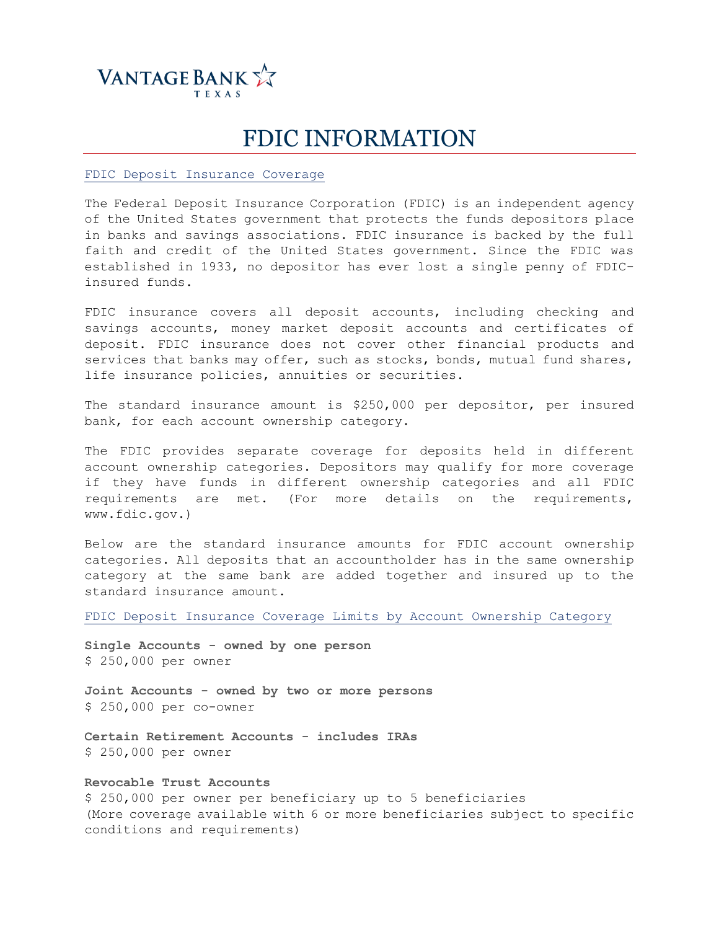

## FDIC INFORMATION

FDIC Deposit Insurance Coverage

The Federal Deposit Insurance Corporation (FDIC) is an independent agency of the United States government that protects the funds depositors place in banks and savings associations. FDIC insurance is backed by the full faith and credit of the United States government. Since the FDIC was established in 1933, no depositor has ever lost a single penny of FDICinsured funds.

FDIC insurance covers all deposit accounts, including checking and savings accounts, money market deposit accounts and certificates of deposit. FDIC insurance does not cover other financial products and services that banks may offer, such as stocks, bonds, mutual fund shares, life insurance policies, annuities or securities.

The standard insurance amount is \$250,000 per depositor, per insured bank, for each account ownership category.

The FDIC provides separate coverage for deposits held in different account ownership categories. Depositors may qualify for more coverage if they have funds in different ownership categories and all FDIC requirements are met. (For more details on the requirements, www.fdic.gov.)

Below are the standard insurance amounts for FDIC account ownership categories. All deposits that an accountholder has in the same ownership category at the same bank are added together and insured up to the standard insurance amount.

FDIC Deposit Insurance Coverage Limits by Account Ownership Category

**Single Accounts - owned by one person**  \$ 250,000 per owner

**Joint Accounts - owned by two or more persons**  \$ 250,000 per co-owner

**Certain Retirement Accounts - includes IRAs** \$ 250,000 per owner

**Revocable Trust Accounts**

\$ 250,000 per owner per beneficiary up to 5 beneficiaries (More coverage available with 6 or more beneficiaries subject to specific conditions and requirements)